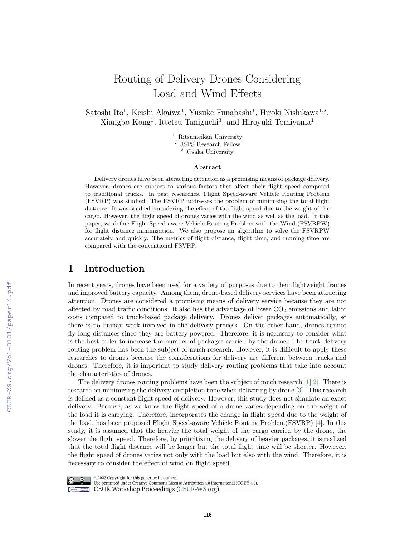# Routing of Delivery Drones Considering Load and Wind Effects

Satoshi Ito<sup>1</sup>, Keishi Akaiwa<sup>1</sup>, Yusuke Funabashi<sup>1</sup>, Hiroki Nishikawa<sup>1,2</sup>, Xiangbo Kong<sup>1</sup>, Ittetsu Taniguchi<sup>3</sup>, and Hiroyuki Tomiyama<sup>1</sup>

> $^{\rm 1}$ Ritsumeikan University 2 JSPS Research Fellow <sup>3</sup> Osaka University

#### Abstract

Delivery drones have been attracting attention as a promising means of package delivery. However, drones are subject to various factors that affect their flight speed compared to traditional trucks. In past researches, Flight Speed-aware Vehicle Routing Problem (FSVRP) was studied. The FSVRP addresses the problem of minimizing the total flight distance. It was studied considering the effect of the flight speed due to the weight of the cargo. However, the flight speed of drones varies with the wind as well as the load. In this paper, we define Flight Speed-aware Vehicle Routing Problem with the Wind (FSVRPW) for flight distance minimization. We also propose an algorithm to solve the FSVRPW accurately and quickly. The metrics of flight distance, flight time, and running time are compared with the conventional FSVRP.

#### 1 Introduction

In recent years, drones have been used for a variety of purposes due to their lightweight frames and improved battery capacity. Among them, drone-based delivery services have been attracting attention. Drones are considered a promising means of delivery service because they are not affected by road traffic conditions. It also has the advantage of lower  $CO<sub>2</sub>$  emissions and labor costs compared to truck-based package delivery. Drones deliver packages automatically, so there is no human work involved in the delivery process. On the other hand, drones cannot fly long distances since they are battery-powered. Therefore, it is necessary to consider what is the best order to increase the number of packages carried by the drone. The truck delivery routing problem has been the subject of much research. However, it is difficult to apply these researches to drones because the considerations for delivery are different between trucks and drones. Therefore, it is important to study delivery routing problems that take into account the characteristics of drones.

The delivery drones routing problems have been the subject of much research [\[1\]](#page--1-0)[\[2\]](#page--1-1). There is research on minimizing the delivery completion time when delivering by drone [\[3\]](#page--1-2). This research is defined as a constant flight speed of delivery. However, this study does not simulate an exact delivery. Because, as we know the flight speed of a drone varies depending on the weight of the load it is carrying. Therefore, incorporates the change in flight speed due to the weight of the load, has been proposed Flight Speed-aware Vehicle Routing Problem(FSVRP) [\[4\]](#page--1-3). In this study, it is assumed that the heavier the total weight of the cargo carried by the drone, the slower the flight speed. Therefore, by prioritizing the delivery of heavier packages, it is realized that the total flight distance will be longer but the total flight time will be shorter. However, the flight speed of drones varies not only with the load but also with the wind. Therefore, it is necessary to consider the effect of wind on flight speed.



© 2022 Copyright for this paper by its authors.

Use permitted under Creative Commons License Attribution 4.0 International (CC BY 4.0). **Example 2018** CEUR Workshop Proceedings (CEUR-WS.org)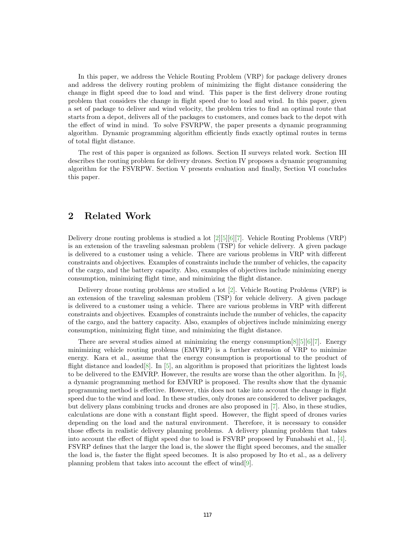In this paper, we address the Vehicle Routing Problem (VRP) for package delivery drones and address the delivery routing problem of minimizing the flight distance considering the change in flight speed due to load and wind. This paper is the first delivery drone routing problem that considers the change in flight speed due to load and wind. In this paper, given a set of package to deliver and wind velocity, the problem tries to find an optimal route that starts from a depot, delivers all of the packages to customers, and comes back to the depot with the effect of wind in mind. To solve FSVRPW, the paper presents a dynamic programming algorithm. Dynamic programming algorithm efficiently finds exactly optimal routes in terms of total flight distance.

The rest of this paper is organized as follows. Section II surveys related work. Section III describes the routing problem for delivery drones. Section IV proposes a dynamic programming algorithm for the FSVRPW. Section V presents evaluation and finally, Section VI concludes this paper.

## 2 Related Work

Delivery drone routing problems is studied a lot [\[2\]](#page-9-0)[\[5\]](#page-9-1)[\[6\]](#page-9-2)[\[7\]](#page-9-3). Vehicle Routing Problems (VRP) is an extension of the traveling salesman problem (TSP) for vehicle delivery. A given package is delivered to a customer using a vehicle. There are various problems in VRP with different constraints and objectives. Examples of constraints include the number of vehicles, the capacity of the cargo, and the battery capacity. Also, examples of objectives include minimizing energy consumption, minimizing flight time, and minimizing the flight distance.

Delivery drone routing problems are studied a lot [\[2\]](#page-9-0). Vehicle Routing Problems (VRP) is an extension of the traveling salesman problem (TSP) for vehicle delivery. A given package is delivered to a customer using a vehicle. There are various problems in VRP with different constraints and objectives. Examples of constraints include the number of vehicles, the capacity of the cargo, and the battery capacity. Also, examples of objectives include minimizing energy consumption, minimizing flight time, and minimizing the flight distance.

There are several studies aimed at minimizing the energy consumption  $[8][5][6][7]$  $[8][5][6][7]$  $[8][5][6][7]$  $[8][5][6][7]$ . Energy minimizing vehicle routing problems (EMVRP) is a further extension of VRP to minimize energy. Kara et al., assume that the energy consumption is proportional to the product of flight distance and loaded[\[8\]](#page-9-4). In [\[5\]](#page-9-1), an algorithm is proposed that prioritizes the lightest loads to be delivered to the EMVRP. However, the results are worse than the other algorithm. In [\[6\]](#page-9-2), a dynamic programming method for EMVRP is proposed. The results show that the dynamic programming method is effective. However, this does not take into account the change in flight speed due to the wind and load. In these studies, only drones are considered to deliver packages, but delivery plans combining trucks and drones are also proposed in [\[7\]](#page-9-3). Also, in these studies, calculations are done with a constant flight speed. However, the flight speed of drones varies depending on the load and the natural environment. Therefore, it is necessary to consider those effects in realistic delivery planning problems. A delivery planning problem that takes into account the effect of flight speed due to load is FSVRP proposed by Funabashi et al., [\[4\]](#page-9-5). FSVRP defines that the larger the load is, the slower the flight speed becomes, and the smaller the load is, the faster the flight speed becomes. It is also proposed by Ito et al., as a delivery planning problem that takes into account the effect of wind[\[9\]](#page-9-6).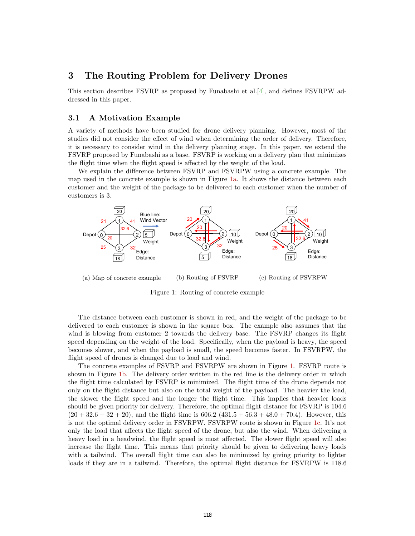## 3 The Routing Problem for Delivery Drones

This section describes FSVRP as proposed by Funabashi et al.[\[4\]](#page-9-5), and defines FSVRPW addressed in this paper.

#### 3.1 A Motivation Example

A variety of methods have been studied for drone delivery planning. However, most of the studies did not consider the effect of wind when determining the order of delivery. Therefore, it is necessary to consider wind in the delivery planning stage. In this paper, we extend the FSVRP proposed by Funabashi as a base. FSVRP is working on a delivery plan that minimizes the flight time when the flight speed is affected by the weight of the load.

We explain the difference between FSVRP and FSVRPW using a concrete example. The map used in the concrete example is shown in Figure [1a.](#page-2-0) It shows the distance between each customer and the weight of the package to be delivered to each customer when the number of customers is 3.

<span id="page-2-0"></span>

(a) Map of concrete example (b) Routing of FSVRP (c) Routing of FSVRPW

Figure 1: Routing of concrete example

The distance between each customer is shown in red, and the weight of the package to be delivered to each customer is shown in the square box. The example also assumes that the wind is blowing from customer 2 towards the delivery base. The FSVRP changes its flight speed depending on the weight of the load. Specifically, when the payload is heavy, the speed becomes slower, and when the payload is small, the speed becomes faster. In FSVRPW, the flight speed of drones is changed due to load and wind.

The concrete examples of FSVRP and FSVRPW are shown in Figure [1.](#page-2-0) FSVRP route is shown in Figure [1b.](#page-2-0) The delivery order written in the red line is the delivery order in which the flight time calculated by FSVRP is minimized. The flight time of the drone depends not only on the flight distance but also on the total weight of the payload. The heavier the load, the slower the flight speed and the longer the flight time. This implies that heavier loads should be given priority for delivery. Therefore, the optimal flight distance for FSVRP is 104.6  $(20 + 32.6 + 32 + 20)$ , and the flight time is 606.2  $(431.5 + 56.3 + 48.0 + 70.4)$ . However, this is not the optimal delivery order in FSVRPW. FSVRPW route is shown in Figure [1c.](#page-2-0) It's not only the load that affects the flight speed of the drone, but also the wind. When delivering a heavy load in a headwind, the flight speed is most affected. The slower flight speed will also increase the flight time. This means that priority should be given to delivering heavy loads with a tailwind. The overall flight time can also be minimized by giving priority to lighter loads if they are in a tailwind. Therefore, the optimal flight distance for FSVRPW is  $118.6$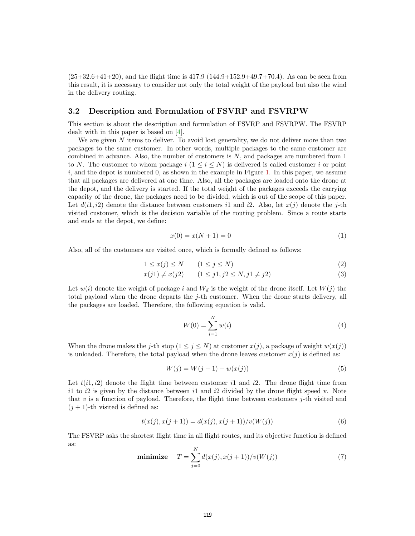$(25+32.6+41+20)$ , and the flight time is  $417.9$   $(144.9+152.9+49.7+70.4)$ . As can be seen from this result, it is necessary to consider not only the total weight of the payload but also the wind in the delivery routing.

#### 3.2 Description and Formulation of FSVRP and FSVRPW

This section is about the description and formulation of FSVRP and FSVRPW. The FSVRP dealt with in this paper is based on [\[4\]](#page-9-5).

We are given  $N$  items to deliver. To avoid lost generality, we do not deliver more than two packages to the same customer. In other words, multiple packages to the same customer are combined in advance. Also, the number of customers is  $N$ , and packages are numbered from 1 to N. The customer to whom package i  $(1 \le i \le N)$  is delivered is called customer i or point i, and the depot is numbered 0, as shown in the example in Figure [1.](#page-2-0) In this paper, we assume that all packages are delivered at one time. Also, all the packages are loaded onto the drone at the depot, and the delivery is started. If the total weight of the packages exceeds the carrying capacity of the drone, the packages need to be divided, which is out of the scope of this paper. Let  $d(i, i2)$  denote the distance between customers i1 and i2. Also, let  $x(j)$  denote the j-th visited customer, which is the decision variable of the routing problem. Since a route starts and ends at the depot, we define:

<span id="page-3-1"></span>
$$
x(0) = x(N + 1) = 0
$$
 (1)

Also, all of the customers are visited once, which is formally defined as follows:

$$
1 \le x(j) \le N \qquad (1 \le j \le N) \tag{2}
$$

$$
x(j1) \neq x(j2) \qquad (1 \leq j1, j2 \leq N, j1 \neq j2)
$$
\n(3)

Let  $w(i)$  denote the weight of package i and  $W_d$  is the weight of the drone itself. Let  $W(j)$  the total payload when the drone departs the j-th customer. When the drone starts delivery, all the packages are loaded. Therefore, the following equation is valid.

<span id="page-3-3"></span>
$$
W(0) = \sum_{i=1}^{N} w(i)
$$
\n(4)

When the drone makes the j-th stop  $(1 \leq j \leq N)$  at customer  $x(j)$ , a package of weight  $w(x(j))$ is unloaded. Therefore, the total payload when the drone leaves customer  $x(j)$  is defined as:

$$
W(j) = W(j-1) - w(x(j))
$$
\n(5)

Let  $t(i1, i2)$  denote the flight time between customer i1 and i2. The drone flight time from i1 to i2 is given by the distance between i1 and i2 divided by the drone flight speed v. Note that v is a function of payload. Therefore, the flight time between customers  $j$ -th visited and  $(j + 1)$ -th visited is defined as:

<span id="page-3-2"></span>
$$
t(x(j), x(j+1)) = d(x(j), x(j+1))/v(W(j))
$$
\n(6)

<span id="page-3-0"></span>The FSVRP asks the shortest flight time in all flight routes, and its objective function is defined as:

minimize 
$$
T = \sum_{j=0}^{N} d(x(j), x(j+1))/v(W(j))
$$
 (7)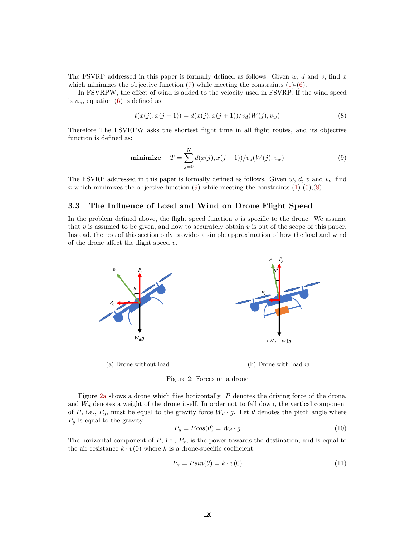The FSVRP addressed in this paper is formally defined as follows. Given w, d and v, find x which minimizes the objective function  $(7)$  while meeting the constraints  $(1)-(6)$  $(1)-(6)$  $(1)-(6)$ .

In FSVRPW, the effect of wind is added to the velocity used in FSVRP. If the wind speed is  $v_w$ , equation [\(6\)](#page-3-2) is defined as:

<span id="page-4-1"></span>
$$
t(x(j), x(j+1)) = d(x(j), x(j+1))/v_d(W(j), v_w)
$$
\n(8)

Therefore The FSVRPW asks the shortest flight time in all flight routes, and its objective function is defined as:

<span id="page-4-0"></span>minimize 
$$
T = \sum_{j=0}^{N} d(x(j), x(j+1))/v_d(W(j), v_w)
$$
 (9)

The FSVRP addressed in this paper is formally defined as follows. Given w, d, v and  $v_w$  find x which minimizes the objective function [\(9\)](#page-4-0) while meeting the constraints  $(1)-(5)(8)$  $(1)-(5)(8)$  $(1)-(5)(8)$  $(1)-(5)(8)$ .

#### 3.3 The Influence of Load and Wind on Drone Flight Speed

In the problem defined above, the flight speed function  $v$  is specific to the drone. We assume that v is assumed to be given, and how to accurately obtain v is out of the scope of this paper. Instead, the rest of this section only provides a simple approximation of how the load and wind of the drone affect the flight speed  $v$ .

<span id="page-4-2"></span>



Figure [2a](#page-4-2) shows a drone which flies horizontally. P denotes the driving force of the drone, and  $W_d$  denotes a weight of the drone itself. In order not to fall down, the vertical component of P, i.e.,  $P_y$ , must be equal to the gravity force  $W_d \cdot g$ . Let  $\theta$  denotes the pitch angle where  $P_y$  is equal to the gravity.

$$
P_y = P\cos(\theta) = W_d \cdot g \tag{10}
$$

The horizontal component of  $P$ , i.e.,  $P_x$ , is the power towards the destination, and is equal to the air resistance  $k \cdot v(0)$  where k is a drone-specific coefficient.

$$
P_x = P\sin(\theta) = k \cdot v(0) \tag{11}
$$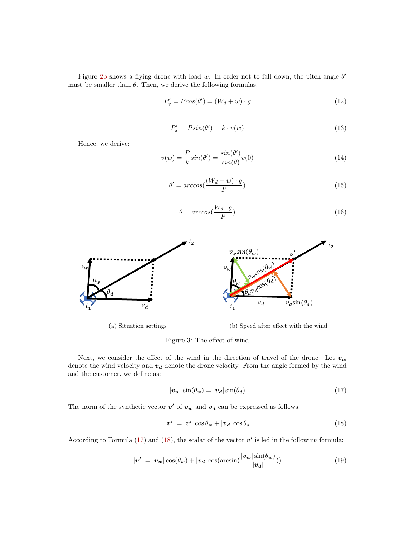Figure [2b](#page-4-2) shows a flying drone with load w. In order not to fall down, the pitch angle  $\theta'$ must be smaller than  $\theta$ . Then, we derive the following formulas.

$$
P'_y = P\cos(\theta') = (W_d + w) \cdot g \tag{12}
$$

$$
P'_x = P\sin(\theta') = k \cdot v(w) \tag{13}
$$

Hence, we derive:

$$
v(w) = \frac{P}{k} \sin(\theta') = \frac{\sin(\theta')}{\sin(\theta)} v(0)
$$
\n(14)

$$
\theta' = \arccos\left(\frac{(W_d + w) \cdot g}{P}\right) \tag{15}
$$

$$
\theta = \arccos(\frac{W_d \cdot g}{P})\tag{16}
$$



Figure 3: The effect of wind

Next, we consider the effect of the wind in the direction of travel of the drone. Let  $v_w$ denote the wind velocity and  $v_d$  denote the drone velocity. From the angle formed by the wind and the customer, we define as:

<span id="page-5-1"></span><span id="page-5-0"></span>
$$
|\mathbf{v}_{\mathbf{w}}|\sin(\theta_{w}) = |\mathbf{v}_{\mathbf{d}}|\sin(\theta_{d})
$$
\n(17)

The norm of the synthetic vector  $v'$  of  $v_w$  and  $v_d$  can be expressed as follows:

$$
|\mathbf{v}'| = |\mathbf{v}'|\cos\theta_w + |\mathbf{v}_d|\cos\theta_d \tag{18}
$$

According to Formula [\(17\)](#page-5-0) and [\(18\)](#page-5-1), the scalar of the vector  $v'$  is led in the following formula:

$$
|\mathbf{v'}| = |\mathbf{v_w}| \cos(\theta_w) + |\mathbf{v_d}| \cos(\arcsin(\frac{|\mathbf{v_w}| \sin(\theta_w)}{|\mathbf{v_d}|}))
$$
(19)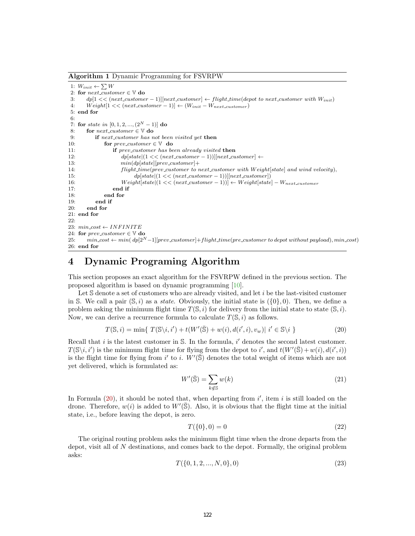Algorithm 1 Dynamic Programming for FSVRPW

```
1: W_{init} \leftarrow \sum W2: for next\_customer \in V do
3: dp[1 << (next_customer - 1)][next_customer] \leftarrow flight_time(depot to next_customer with W_{init})<br>4: Weight[1 << (next_customer - 1)] \leftarrow (Winit - Weert customer)
       Weight[1 << (next\_customer - 1)] \leftarrow (W_{init} - W_{next\_customer})5: end for
6:
7: for state in [0, 1, 2, ..., (2^N - 1)] do
8: for next\_customer \in V do
9: if next_customer has not been visited yet then
10: for prev\_customer \in V do
11: if prev_customer has been already visited then
12: dp[state | (1 \lt \lt (next-cutomer - 1))] [next-cutomer] \gets13: min(dp[state][prev\_customer] +14: flight_time(prev_customer to next_customer with Weight[state] and wind velocity),
15: dp[state](1 \leq (next\_customer - 1))][next\_customer])16: Weight[state](1 \leq (next-cutomer - 1))] \leftarrow Weight[state] - W_{next-cutomer}17: end if
18: end for
19: end if
20<sup>°</sup> end for
21: end for
22.23: min\_cost \leftarrow INFINITE24: for prev\_customer \in V do
25: min_cost \leftarrow min(dp[2^N-1][prev\_customer] + flight\_time(prec_customer to depot without payload), min_cost)
26: end for
```
## <span id="page-6-3"></span>4 Dynamic Programing Algorithm

This section proposes an exact algorithm for the FSVRPW defined in the previous section. The proposed algorithm is based on dynamic programming [\[10\]](#page-9-7).

Let S denote a set of customers who are already visited, and let i be the last-visited customer in S. We call a pair  $(\mathbb{S}, i)$  as a *state*. Obviously, the initial state is  $({0}, 0)$ . Then, we define a problem asking the minimum flight time  $T(\mathbb{S}, i)$  for delivery from the initial state to state  $(\mathbb{S}, i)$ . Now, we can derive a recurrence formula to calculate  $T(\mathbb{S}, i)$  as follows.

<span id="page-6-0"></span>
$$
T(\mathbb{S},i) = \min\{T(\mathbb{S}\backslash i,i') + t(W'(\bar{\mathbb{S}}) + w(i), d(i',i), v_w)| i' \in \mathbb{S}\backslash i\}
$$
\n(20)

Recall that  $i$  is the latest customer in  $S$ . In the formula,  $i'$  denotes the second latest customer.  $T(\mathbb{S}\backslash i, i')$  is the minimum flight time for flying from the depot to i', and  $t(W'(\bar{\mathbb{S}}) + w(i), d(i', i))$ is the flight time for flying from i' to i.  $W'(\overline{S})$  denotes the total weight of items which are not yet delivered, which is formulated as:

$$
W'(\bar{\mathbb{S}}) = \sum_{k \notin \mathbb{S}} w(k) \tag{21}
$$

In Formula  $(20)$ , it should be noted that, when departing from  $i'$ , item i is still loaded on the drone. Therefore,  $w(i)$  is added to  $W'(\overline{S})$ . Also, it is obvious that the flight time at the initial state, i.e., before leaving the depot, is zero.

<span id="page-6-2"></span>
$$
T(\{0\},0) = 0\tag{22}
$$

<span id="page-6-1"></span>The original routing problem asks the minimum flight time when the drone departs from the depot, visit all of N destinations, and comes back to the depot. Formally, the original problem asks:

$$
T(\{0, 1, 2, ..., N, 0\}, 0) \tag{23}
$$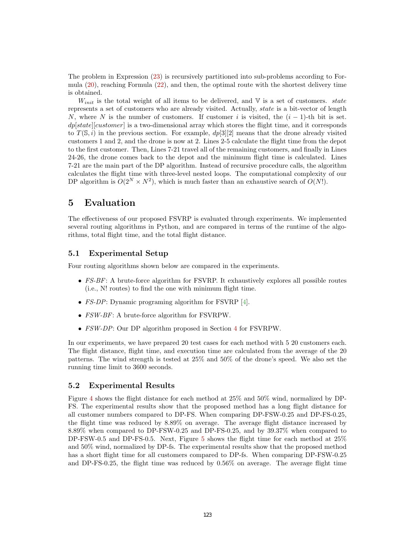The problem in Expression [\(23\)](#page-6-1) is recursively partitioned into sub-problems according to Formula [\(20\)](#page-6-0), reaching Formula [\(22\)](#page-6-2), and then, the optimal route with the shortest delivery time is obtained.

 $W_{init}$  is the total weight of all items to be delivered, and  $\nabla$  is a set of customers. *state* represents a set of customers who are already visited. Actually, state is a bit-vector of length N, where N is the number of customers. If customer i is visited, the  $(i - 1)$ -th bit is set.  $dp[state][customer]$  is a two-dimensional array which stores the flight time, and it corresponds to  $T(\mathcal{S}, i)$  in the previous section. For example,  $dp[3][2]$  means that the drone already visited customers 1 and 2, and the drone is now at 2. Lines 2-5 calculate the flight time from the depot to the first customer. Then, Lines 7-21 travel all of the remaining customers, and finally in Lines 24-26, the drone comes back to the depot and the minimum flight time is calculated. Lines 7-21 are the main part of the DP algorithm. Instead of recursive procedure calls, the algorithm calculates the flight time with three-level nested loops. The computational complexity of our DP algorithm is  $O(2^N \times N^2)$ , which is much faster than an exhaustive search of  $O(N!)$ .

### 5 Evaluation

The effectiveness of our proposed FSVRP is evaluated through experiments. We implemented several routing algorithms in Python, and are compared in terms of the runtime of the algorithms, total flight time, and the total flight distance.

#### 5.1 Experimental Setup

Four routing algorithms shown below are compared in the experiments.

- $FS-BF$ : A brute-force algorithm for FSVRP. It exhaustively explores all possible routes (i.e., N! routes) to find the one with minimum flight time.
- FS-DP: Dynamic programing algorithm for FSVRP [\[4\]](#page-9-5).
- FSW-BF: A brute-force algorithm for FSVRPW.
- FSW-DP: Our DP algorithm proposed in Section [4](#page-6-3) for FSVRPW.

In our experiments, we have prepared 20 test cases for each method with 5 20 customers each. The flight distance, flight time, and execution time are calculated from the average of the 20 patterns. The wind strength is tested at 25% and 50% of the drone's speed. We also set the running time limit to 3600 seconds.

#### 5.2 Experimental Results

Figure [4](#page-8-0) shows the flight distance for each method at 25% and 50% wind, normalized by DP-FS. The experimental results show that the proposed method has a long flight distance for all customer numbers compared to DP-FS. When comparing DP-FSW-0.25 and DP-FS-0.25, the flight time was reduced by 8.89% on average. The average flight distance increased by 8.89% when compared to DP-FSW-0.25 and DP-FS-0.25, and by 39.37% when compared to DP-FSW-0.5 and DP-FS-0.5. Next, Figure [5](#page-8-1) shows the flight time for each method at 25% and 50% wind, normalized by DP-fs. The experimental results show that the proposed method has a short flight time for all customers compared to DP-fs. When comparing DP-FSW-0.25 and DP-FS-0.25, the flight time was reduced by 0.56% on average. The average flight time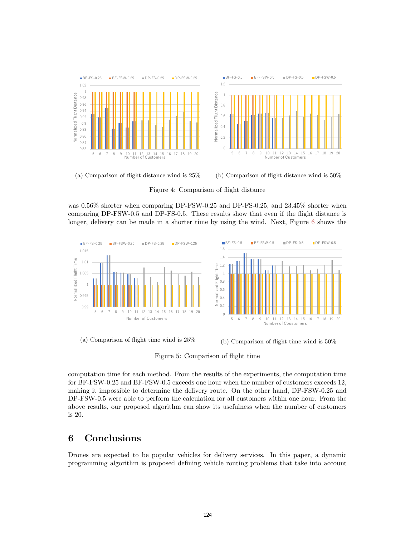<span id="page-8-0"></span>

(a) Comparison of flight distance wind is 25%



Figure 4: Comparison of flight distance

was 0.56% shorter when comparing DP-FSW-0.25 and DP-FS-0.25, and 23.45% shorter when comparing DP-FSW-0.5 and DP-FS-0.5. These results show that even if the flight distance is longer, delivery can be made in a shorter time by using the wind. Next, Figure [6](#page-9-8) shows the

<span id="page-8-1"></span>

(a) Comparison of flight time wind is 25% (b) Comparison of flight time wind is 50%

Figure 5: Comparison of flight time

computation time for each method. From the results of the experiments, the computation time for BF-FSW-0.25 and BF-FSW-0.5 exceeds one hour when the number of customers exceeds 12, making it impossible to determine the delivery route. On the other hand, DP-FSW-0.25 and DP-FSW-0.5 were able to perform the calculation for all customers within one hour. From the above results, our proposed algorithm can show its usefulness when the number of customers is 20.

## 6 Conclusions

Drones are expected to be popular vehicles for delivery services. In this paper, a dynamic programming algorithm is proposed defining vehicle routing problems that take into account